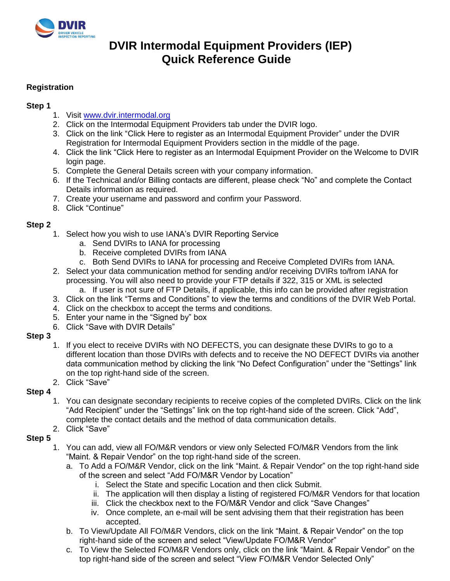

# **DVIR Intermodal Equipment Providers (IEP) Quick Reference Guide**

# **Registration**

# **Step 1**

- 1. Visit [www.dvir.intermodal.org](http://www.dvir.intermodal.org/)
- 2. Click on the Intermodal Equipment Providers tab under the DVIR logo.
- 3. Click on the link "Click Here to register as an Intermodal Equipment Provider" under the DVIR Registration for Intermodal Equipment Providers section in the middle of the page.
- 4. Click the link "Click Here to register as an Intermodal Equipment Provider on the Welcome to DVIR login page.
- 5. Complete the General Details screen with your company information.
- 6. If the Technical and/or Billing contacts are different, please check "No" and complete the Contact Details information as required.
- 7. Create your username and password and confirm your Password.
- 8. Click "Continue"

## **Step 2**

- 1. Select how you wish to use IANA's DVIR Reporting Service
	- a. Send DVIRs to IANA for processing
	- b. Receive completed DVIRs from IANA
	- c. Both Send DVIRs to IANA for processing and Receive Completed DVIRs from IANA.
- 2. Select your data communication method for sending and/or receiving DVIRs to/from IANA for processing. You will also need to provide your FTP details if 322, 315 or XML is selected a. If user is not sure of FTP Details, if applicable, this info can be provided after registration
- 3. Click on the link "Terms and Conditions" to view the terms and conditions of the DVIR Web Portal.
- 4. Click on the checkbox to accept the terms and conditions.
- 5. Enter your name in the "Signed by" box
- 6. Click "Save with DVIR Details"

#### **Step 3**

- 1. If you elect to receive DVIRs with NO DEFECTS, you can designate these DVIRs to go to a different location than those DVIRs with defects and to receive the NO DEFECT DVIRs via another data communication method by clicking the link "No Defect Configuration" under the "Settings" link on the top right-hand side of the screen.
- 2. Click "Save"

## **Step 4**

- 1. You can designate secondary recipients to receive copies of the completed DVIRs. Click on the link "Add Recipient" under the "Settings" link on the top right-hand side of the screen. Click "Add", complete the contact details and the method of data communication details.
- 2. Click "Save"

## **Step 5**

- 1. You can add, view all FO/M&R vendors or view only Selected FO/M&R Vendors from the link "Maint. & Repair Vendor" on the top right-hand side of the screen.
	- a. To Add a FO/M&R Vendor, click on the link "Maint. & Repair Vendor" on the top right-hand side of the screen and select "Add FO/M&R Vendor by Location"
		- i. Select the State and specific Location and then click Submit.
		- ii. The application will then display a listing of registered FO/M&R Vendors for that location
		- iii. Click the checkbox next to the FO/M&R Vendor and click "Save Changes"
		- iv. Once complete, an e-mail will be sent advising them that their registration has been accepted.
	- b. To View/Update All FO/M&R Vendors, click on the link "Maint. & Repair Vendor" on the top right-hand side of the screen and select "View/Update FO/M&R Vendor"
	- c. To View the Selected FO/M&R Vendors only, click on the link "Maint. & Repair Vendor" on the top right-hand side of the screen and select "View FO/M&R Vendor Selected Only"